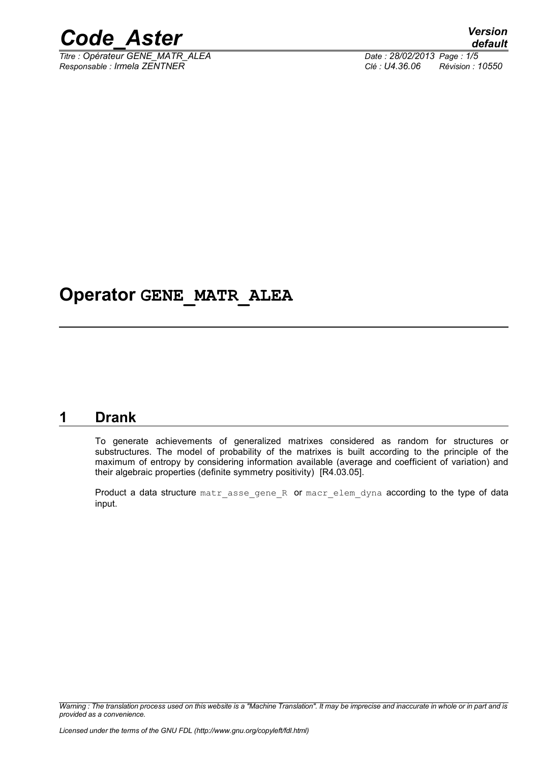

*Titre : Opérateur GENE\_MATR\_ALEA Date : 28/02/2013 Page : 1/5 Responsable : Irmela ZENTNER Clé : U4.36.06 Révision : 10550*

# **Operator GENE\_MATR\_ALEA**

### **1 Drank**

To generate achievements of generalized matrixes considered as random for structures or substructures. The model of probability of the matrixes is built according to the principle of the maximum of entropy by considering information available (average and coefficient of variation) and their algebraic properties (definite symmetry positivity) [R4.03.05].

Product a data structure matr asse gene R or macr elem dyna according to the type of data input.

*Warning : The translation process used on this website is a "Machine Translation". It may be imprecise and inaccurate in whole or in part and is provided as a convenience.*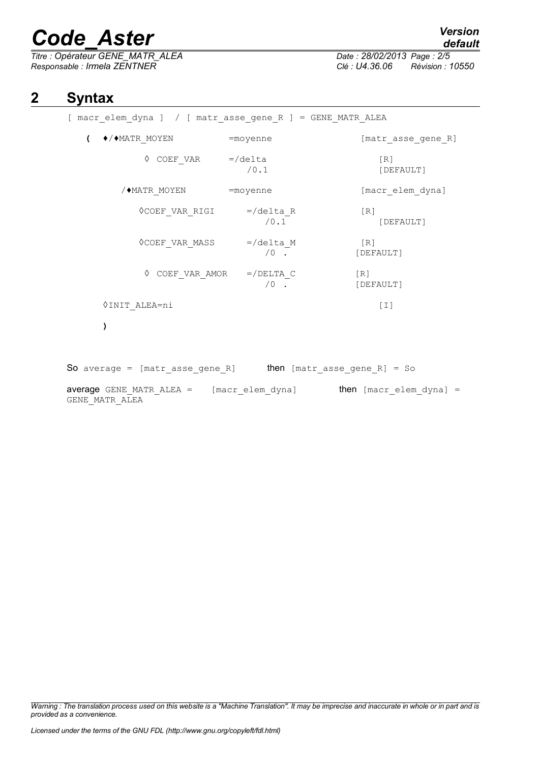# *Code\_Aster Version*

*Titre : Opérateur GENE\_MATR\_ALEA Date : 28/02/2013 Page : 2/5 Responsable : Irmela ZENTNER Clé : U4.36.06 Révision : 10550*

# *default*

## **2 Syntax**

| [ macr elem dyna ] / [ matr asse gene R ] = GENE MATR ALEA        |                      |                                |
|-------------------------------------------------------------------|----------------------|--------------------------------|
| $\sqrt{2}$                                                        |                      | [matr asse gene R]             |
| $\Diamond$ COEF VAR =/delta                                       | /0.1                 | [R]<br>[DEFAULT]               |
| / MATR MOYEN = moyenne                                            |                      | [macr elem dyna]               |
| ◊COEF VAR RIGI                                                    | $=$ /delta R<br>/0.1 | $\lceil R \rceil$<br>[DEFAULT] |
| $\Diamond$ COEF VAR MASS =/delta M                                | $\sqrt{0}$ .         | [R]<br>[DEFAULT]               |
| $\Diamond$ COEF VAR AMOR =/DELTA C                                | $\sqrt{0}$ .         | [R]<br>[DEFAULT]               |
| VINIT ALEA=ni                                                     |                      | $[1]$                          |
| )                                                                 |                      |                                |
| So average = [matr asse gene R] then [matr asse gene R] = So      |                      |                                |
| average GENE MATR ALEA = [macr elem dyna] then [macr elem dyna] = |                      |                                |

GENE\_MATR\_ALEA

*Warning : The translation process used on this website is a "Machine Translation". It may be imprecise and inaccurate in whole or in part and is provided as a convenience.*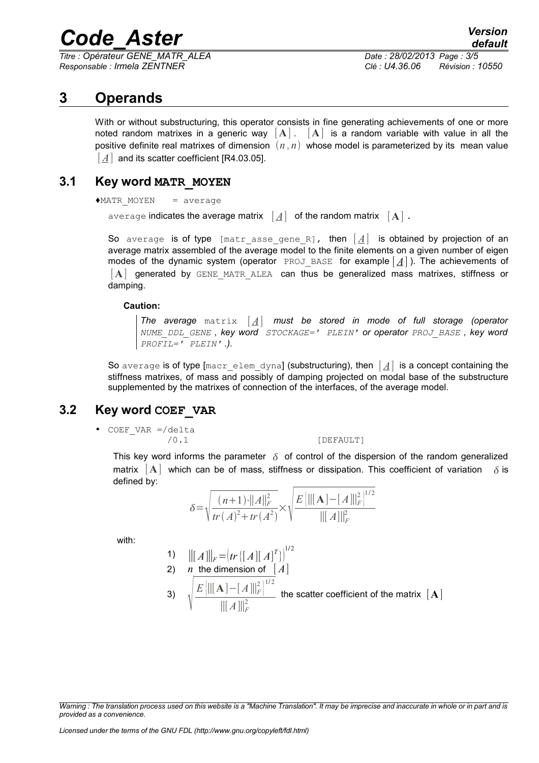# *Code\_Aster Version*

*Titre : Opérateur GENE\_MATR\_ALEA Date : 28/02/2013 Page : 3/5 Responsable : Irmela ZENTNER Clé : U4.36.06 Révision : 10550*

### **3 Operands**

With or without substructuring, this operator consists in fine generating achievements of one or more noted random matrixes in a generic way  $[A]$ .  $[A]$  is a random variable with value in all the positive definite real matrixes of dimension  $(n, n)$  whose model is parameterized by its mean value [A] and its scatter coefficient IR4.03.05].

#### **3.1 Key word MATR\_MOYEN**

 $***MATR**$  MOYEN = average

average indicates the average matrix  $[A]$  of the random matrix  $[A]$ .

So average is of type [matr asse gene R], then  $\lfloor A \rfloor$  is obtained by projection of an average matrix assembled of the average model to the finite elements on a given number of eigen modes of the dynamic system (operator PROJ BASE for example  $\left[\underline{A}\right]$ ). The achievements of [**A**] generated by GENE\_MATR\_ALEA can thus be generalized mass matrixes, stiffness or damping.

#### **Caution:**

*The average* matrix [ *A*] *must be stored in mode of full storage (operator NUME\_DDL\_GENE , key word STOCKAGE=' PLEIN' or operator PROJ\_BASE , key word PROFIL=' PLEIN' .).*

So average is of type [macr\_elem\_dyna] (substructuring), then  $\left[\underline{A}\right]$  is a concept containing the stiffness matrixes, of mass and possibly of damping projected on modal base of the substructure supplemented by the matrixes of connection of the interfaces, of the average model.

### **3.2 Key word COEF\_VAR**

• COEF VAR =/delta

/0.1 [DEFAULT]

This key word informs the parameter  $\delta$  of control of the dispersion of the random generalized matrix  $|\mathbf{A}|$  which can be of mass, stiffness or dissipation. This coefficient of variation  $\delta$  is defined by:

$$
\delta = \sqrt{\frac{(n+1)\cdot ||A||_F^2}{tr(A)^2 + tr(A^2)}} \times \sqrt{\frac{E\left[\| [\mathbf{A}] - [A] \|_F^2\right]^{1/2}}{\| [A] \|_F^2}}
$$

with:

1) 
$$
\| [A] \|_F = (tr\{ [A] [A]^T \})^{1/2}
$$
  
2) *n* the dimension of  $[A]$   
3) 
$$
\sqrt{\frac{E\left[ \| [A] - [A] \|_F^2 \right]^{1/2}}{\| [A] \|_F^2}}
$$
 the scatter coefficient of the matrix  $[A]$ 

*Warning : The translation process used on this website is a "Machine Translation". It may be imprecise and inaccurate in whole or in part and is provided as a convenience.*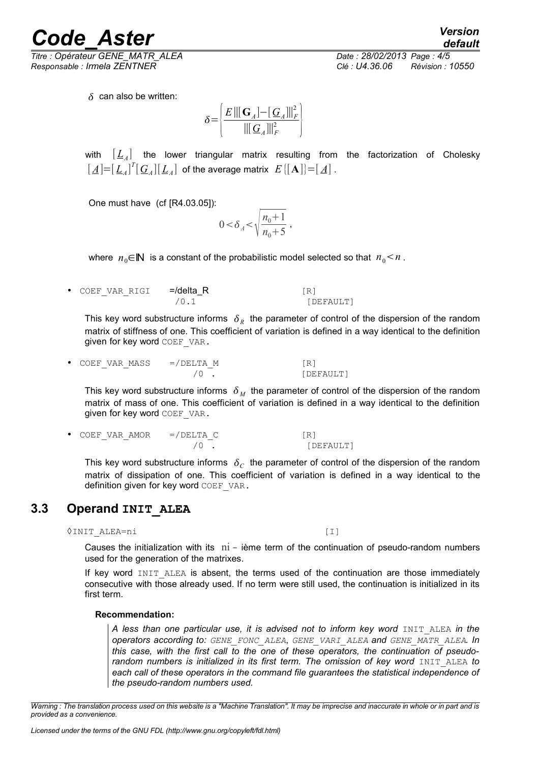**Code Aster** *Version* 

*Responsable : Irmela ZENTNER Clé : U4.36.06 Révision : 10550*

*default Titre : Opérateur GENE\_MATR\_ALEA Date : 28/02/2013 Page : 4/5*

 $\delta$  can also be written:

$$
\delta {=} \left\{ \frac{E\left\| \left[ \mathbf{G}_A \right] {-} [\mathbf{G}_A] \right\|_F^2}{\left\| \left[ \mathbf{G}_A \right] \right\|_F^2} \right\}
$$

with  $\left[\,L_{\scriptscriptstyle A}\right]\,$  the lower triangular matrix resulting from the factorization of Cholesky  $\mathbb{E}\left[ \left[ \underline{A} \right] = \left[ \underline{L}_A \right]^T \left[ \underline{G}_A \right] \left[ \underline{L}_A \right]$  of the average matrix  $\ E\left[ \left[ \mathbf{A} \right] \right] = \left[ \underline{A} \right]$  .

One must have (cf [R4.03.05]):

$$
0 < \delta_{A} < \sqrt{\frac{n_0 + 1}{n_0 + 5}} ,
$$

where  $n_0 \in \mathbb{N}$  is a constant of the probabilistic model selected so that  $n_0 \leq n$ .

COEF VAR RIGI =/delta\_R [R] /0.1 [DEFAULT]

This key word substructure informs  $\|\delta_{R}\|$  the parameter of control of the dispersion of the random matrix of stiffness of one. This coefficient of variation is defined in a way identical to the definition given for key word COEF VAR.

 $COEF_VAR_MASS$  =/DELTA\_M  $(0)$ <br>(0) [DEFAULT]

This key word substructure informs  $\delta_M$  the parameter of control of the dispersion of the random matrix of mass of one. This coefficient of variation is defined in a way identical to the definition given for key word COEF VAR.

• COEF VAR AMOR =/DELTA C [R] /0 . [DEFAULT]

This key word substructure informs  $\|\delta_{C}\|$  the parameter of control of the dispersion of the random matrix of dissipation of one. This coefficient of variation is defined in a way identical to the definition given for key word COEF VAR.

### **3.3 Operand INIT\_ALEA**

◊INIT\_ALEA=ni [I]

Causes the initialization with its  $pi$  - ième term of the continuation of pseudo-random numbers used for the generation of the matrixes.

If key word INIT ALEA is absent, the terms used of the continuation are those immediately consecutive with those already used. If no term were still used, the continuation is initialized in its first term.

#### **Recommendation:**

A less than one particular use, it is advised not to inform key word INIT ALEA in the *operators according to: GENE\_FONC\_ALEA*, *GENE\_VARI\_ALEA and GENE\_MATR\_ALEA. In this case, with the first call to the one of these operators, the continuation of pseudorandom numbers is initialized in its first term. The omission of key word* INIT ALEA *to each call of these operators in the command file guarantees the statistical independence of the pseudo-random numbers used.*

*Warning : The translation process used on this website is a "Machine Translation". It may be imprecise and inaccurate in whole or in part and is provided as a convenience.*